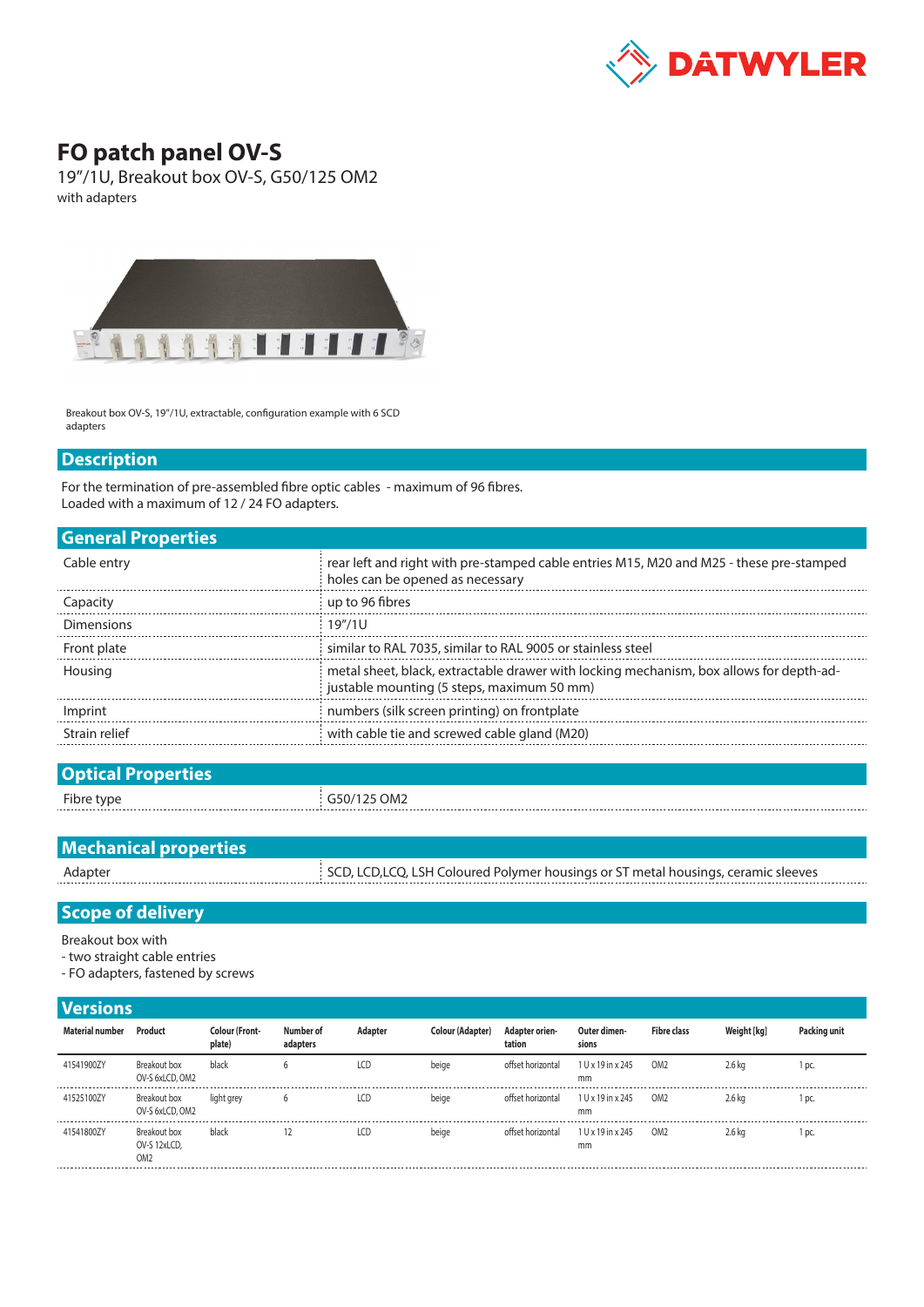

## **FO patch panel OV-S**

19"/1U, Breakout box OV-S, G50/125 OM2 with adapters



Breakout box OV-S, 19"/1U, extractable, configuration example with 6 SCD adapters

## **Description**

For the termination of pre-assembled fibre optic cables - maximum of 96 fibres. Loaded with a maximum of 12 / 24 FO adapters.

| <b>General Properties</b> |                                                                                                                                       |
|---------------------------|---------------------------------------------------------------------------------------------------------------------------------------|
| Cable entry               | rear left and right with pre-stamped cable entries M15, M20 and M25 - these pre-stamped<br>holes can be opened as necessary           |
| Capacity                  | up to 96 fibres                                                                                                                       |
| <b>Dimensions</b>         | 19''/11                                                                                                                               |
| Front plate               | similar to RAL 7035, similar to RAL 9005 or stainless steel                                                                           |
| Housing                   | metal sheet, black, extractable drawer with locking mechanism, box allows for depth-ad-<br>justable mounting (5 steps, maximum 50 mm) |
| Imprint                   | numbers (silk screen printing) on frontplate                                                                                          |
| Strain relief             | with cable tie and screwed cable gland (M20)                                                                                          |
|                           |                                                                                                                                       |

| <b>Optical Properties</b> |             |
|---------------------------|-------------|
| Fibre type                | G50/125 OM2 |
|                           |             |

| <b>Mechanical properties</b> |                                                                                    |
|------------------------------|------------------------------------------------------------------------------------|
| Adapter                      | SCD, LCD, LCQ, LSH Coloured Polymer housings or ST metal housings, ceramic sleeves |
|                              |                                                                                    |

## **Scope of delivery**

Breakout box with

- two straight cable entries
- FO adapters, fastened by screws

## **Versions**

| Material number | Product                                         | <b>Colour (Front-</b><br>plate) | Number of<br>adapters | Adapter | Colour (Adapter) | <b>Adapter orien-</b><br>tation | Outer dimen-<br>sions   | <b>Fibre class</b> | Weight [kg] | Packing unit |
|-----------------|-------------------------------------------------|---------------------------------|-----------------------|---------|------------------|---------------------------------|-------------------------|--------------------|-------------|--------------|
| 41541900ZY      | Breakout box<br>OV-S 6xLCD, OM2                 | black                           |                       | LCD     | beige            | offset horizontal               | 1 U x 19 in x 245<br>mm | OM <sub>2</sub>    | $2.6$ kg    | DC.          |
| 41525100ZY      | Breakout box<br>OV-S 6xLCD, OM2                 | light grey                      |                       | LCD     | beige            | offset horizontal               | 1 U x 19 in x 245<br>mm | OM <sub>2</sub>    | 2.6 kg      | DC.          |
| 41541800ZY      | Breakout box<br>OV-S 12xLCD,<br>OM <sub>2</sub> | black                           | 12                    | LCD     | beige            | offset horizontal               | 1 U x 19 in x 245<br>mm | OM <sub>2</sub>    | 2.6 kg      | DC.          |